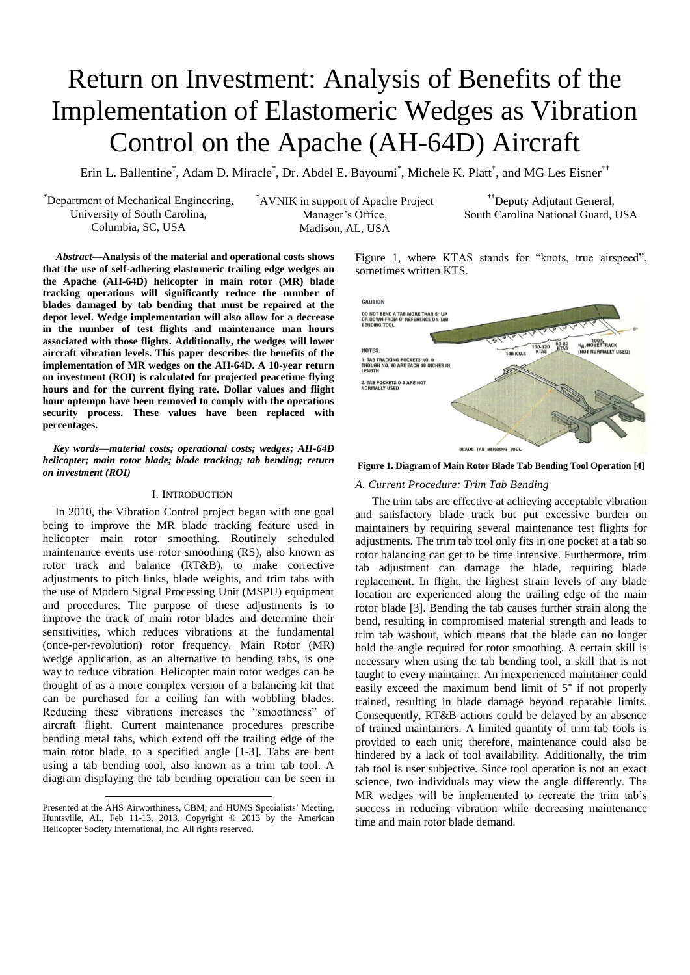# Return on Investment: Analysis of Benefits of the Implementation of Elastomeric Wedges as Vibration Control on the Apache (AH-64D) Aircraft

Erin L. Ballentine<sup>\*</sup>, Adam D. Miracle<sup>\*</sup>, Dr. Abdel E. Bayoumi<sup>\*</sup>, Michele K. Platt<sup>†</sup>, and MG Les Eisner<sup>††</sup>

\*Department of Mechanical Engineering, University of South Carolina, Columbia, SC, USA

†AVNIK in support of Apache Project Manager's Office, Madison, AL, USA

††Deputy Adjutant General, South Carolina National Guard, USA

<sup>1</sup>*Abstract***—Analysis of the material and operational costs shows that the use of self-adhering elastomeric trailing edge wedges on the Apache (AH-64D) helicopter in main rotor (MR) blade tracking operations will significantly reduce the number of blades damaged by tab bending that must be repaired at the depot level. Wedge implementation will also allow for a decrease in the number of test flights and maintenance man hours associated with those flights. Additionally, the wedges will lower aircraft vibration levels. This paper describes the benefits of the implementation of MR wedges on the AH-64D. A 10-year return on investment (ROI) is calculated for projected peacetime flying hours and for the current flying rate. Dollar values and flight hour optempo have been removed to comply with the operations security process. These values have been replaced with percentages.** 

*Key words***—***material costs; operational costs; wedges; AH-64D helicopter; main rotor blade; blade tracking; tab bending; return on investment (ROI)*

## I. INTRODUCTION

In 2010, the Vibration Control project began with one goal being to improve the MR blade tracking feature used in helicopter main rotor smoothing. Routinely scheduled maintenance events use rotor smoothing (RS), also known as rotor track and balance (RT&B), to make corrective adjustments to pitch links, blade weights, and trim tabs with the use of Modern Signal Processing Unit (MSPU) equipment and procedures. The purpose of these adjustments is to improve the track of main rotor blades and determine their sensitivities, which reduces vibrations at the fundamental (once-per-revolution) rotor frequency. Main Rotor (MR) wedge application, as an alternative to bending tabs, is one way to reduce vibration. Helicopter main rotor wedges can be thought of as a more complex version of a balancing kit that can be purchased for a ceiling fan with wobbling blades. Reducing these vibrations increases the "smoothness" of aircraft flight. Current maintenance procedures prescribe bending metal tabs, which extend off the trailing edge of the main rotor blade, to a specified angle [1-3]. Tabs are bent using a tab bending tool, also known as a trim tab tool. A diagram displaying the tab bending operation can be seen in

 $\overline{a}$ 

[Figure 1,](#page-0-0) where KTAS stands for "knots, true airspeed", sometimes written KTS.



<span id="page-0-0"></span>**Figure 1. Diagram of Main Rotor Blade Tab Bending Tool Operation [4]**

## *A. Current Procedure: Trim Tab Bending*

The trim tabs are effective at achieving acceptable vibration and satisfactory blade track but put excessive burden on maintainers by requiring several maintenance test flights for adjustments. The trim tab tool only fits in one pocket at a tab so rotor balancing can get to be time intensive. Furthermore, trim tab adjustment can damage the blade, requiring blade replacement. In flight, the highest strain levels of any blade location are experienced along the trailing edge of the main rotor blade [3]. Bending the tab causes further strain along the bend, resulting in compromised material strength and leads to trim tab washout, which means that the blade can no longer hold the angle required for rotor smoothing. A certain skill is necessary when using the tab bending tool, a skill that is not taught to every maintainer. An inexperienced maintainer could easily exceed the maximum bend limit of 5° if not properly trained, resulting in blade damage beyond reparable limits. Consequently, RT&B actions could be delayed by an absence of trained maintainers. A limited quantity of trim tab tools is provided to each unit; therefore, maintenance could also be hindered by a lack of tool availability. Additionally, the trim tab tool is user subjective. Since tool operation is not an exact science, two individuals may view the angle differently. The MR wedges will be implemented to recreate the trim tab's success in reducing vibration while decreasing maintenance time and main rotor blade demand.

Presented at the AHS Airworthiness, CBM, and HUMS Specialists' Meeting, Huntsville, AL, Feb 11-13, 2013. Copyright © 2013 by the American Helicopter Society International, Inc. All rights reserved.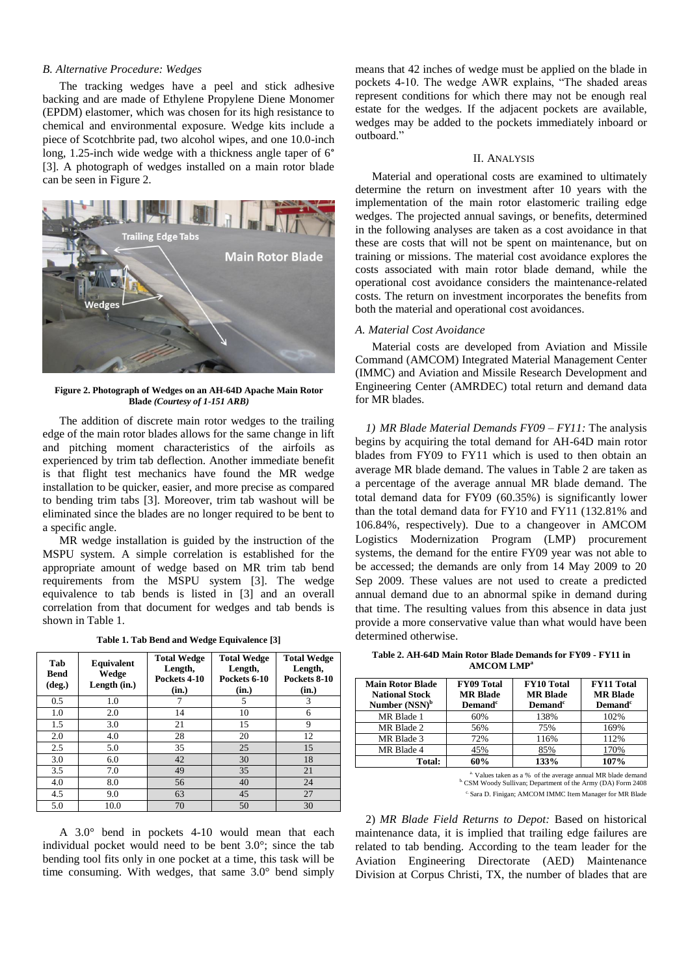# *B. Alternative Procedure: Wedges*

The tracking wedges have a peel and stick adhesive backing and are made of Ethylene Propylene Diene Monomer (EPDM) elastomer, which was chosen for its high resistance to chemical and environmental exposure. Wedge kits include a piece of Scotchbrite pad, two alcohol wipes, and one 10.0-inch long, 1.25-inch wide wedge with a thickness angle taper of 6° [3]. A photograph of wedges installed on a main rotor blade can be seen in [Figure 2.](#page-1-0)



**Figure 2. Photograph of Wedges on an AH-64D Apache Main Rotor Blade** *(Courtesy of 1-151 ARB)*

<span id="page-1-0"></span>The addition of discrete main rotor wedges to the trailing edge of the main rotor blades allows for the same change in lift and pitching moment characteristics of the airfoils as experienced by trim tab deflection. Another immediate benefit is that flight test mechanics have found the MR wedge installation to be quicker, easier, and more precise as compared to bending trim tabs [3]. Moreover, trim tab washout will be eliminated since the blades are no longer required to be bent to a specific angle.

MR wedge installation is guided by the instruction of the MSPU system. A simple correlation is established for the appropriate amount of wedge based on MR trim tab bend requirements from the MSPU system [3]. The wedge equivalence to tab bends is listed in [3] and an overall correlation from that document for wedges and tab bends is shown in [Table 1.](#page-1-1)

**Table 1. Tab Bend and Wedge Equivalence [3]**

<span id="page-1-1"></span>

| Tab<br><b>Bend</b><br>$(\text{deg.})$ | <b>Equivalent</b><br>Wedge<br>Length (in.) | <b>Total Wedge</b><br>Length,<br>Pockets 4-10<br>(in.) | <b>Total Wedge</b><br>Length,<br>Pockets 6-10<br>(in.) | <b>Total Wedge</b><br>Length,<br>Pockets 8-10<br>(in.) |
|---------------------------------------|--------------------------------------------|--------------------------------------------------------|--------------------------------------------------------|--------------------------------------------------------|
| 0.5                                   | 1.0                                        |                                                        | 5                                                      | 3                                                      |
| 1.0                                   | 2.0                                        | 14                                                     | 10                                                     | 6                                                      |
| 1.5                                   | 3.0                                        | 21                                                     | 15                                                     | 9                                                      |
| 2.0                                   | 4.0                                        | 28                                                     | 20                                                     | 12                                                     |
| 2.5                                   | 5.0                                        | 35                                                     | 25                                                     | 15                                                     |
| 3.0                                   | 6.0                                        | 42                                                     | 30                                                     | 18                                                     |
| 3.5                                   | 7.0                                        | 49                                                     | 35                                                     | 21                                                     |
| 4.0                                   | 8.0                                        | 56                                                     | 40                                                     | 24                                                     |
| 4.5                                   | 9.0                                        | 63                                                     | 45                                                     | 27                                                     |
| 5.0                                   | 10.0                                       | 70                                                     | 50                                                     | 30                                                     |

A 3.0° bend in pockets 4-10 would mean that each individual pocket would need to be bent 3.0°; since the tab bending tool fits only in one pocket at a time, this task will be time consuming. With wedges, that same 3.0° bend simply

means that 42 inches of wedge must be applied on the blade in pockets 4-10. The wedge AWR explains, "The shaded areas represent conditions for which there may not be enough real estate for the wedges. If the adjacent pockets are available, wedges may be added to the pockets immediately inboard or outboard."

## II. ANALYSIS

Material and operational costs are examined to ultimately determine the return on investment after 10 years with the implementation of the main rotor elastomeric trailing edge wedges. The projected annual savings, or benefits, determined in the following analyses are taken as a cost avoidance in that these are costs that will not be spent on maintenance, but on training or missions. The material cost avoidance explores the costs associated with main rotor blade demand, while the operational cost avoidance considers the maintenance-related costs. The return on investment incorporates the benefits from both the material and operational cost avoidances.

## *A. Material Cost Avoidance*

Material costs are developed from Aviation and Missile Command (AMCOM) Integrated Material Management Center (IMMC) and Aviation and Missile Research Development and Engineering Center (AMRDEC) total return and demand data for MR blades.

*1) MR Blade Material Demands FY09 – FY11:* The analysis begins by acquiring the total demand for AH-64D main rotor blades from FY09 to FY11 which is used to then obtain an average MR blade demand. The values in [Table 2](#page-1-2) are taken as a percentage of the average annual MR blade demand. The total demand data for FY09 (60.35%) is significantly lower than the total demand data for FY10 and FY11 (132.81% and 106.84%, respectively). Due to a changeover in AMCOM Logistics Modernization Program (LMP) procurement systems, the demand for the entire FY09 year was not able to be accessed; the demands are only from 14 May 2009 to 20 Sep 2009. These values are not used to create a predicted annual demand due to an abnormal spike in demand during that time. The resulting values from this absence in data just provide a more conservative value than what would have been determined otherwise.

<span id="page-1-2"></span>**Table 2. AH-64D Main Rotor Blade Demands for FY09 - FY11 in AMCOM LMP<sup>a</sup>**

| <b>Main Rotor Blade</b>   | <b>FY09 Total</b> | <b>FY10 Total</b>   | <b>FY11 Total</b> |
|---------------------------|-------------------|---------------------|-------------------|
| <b>National Stock</b>     | <b>MR Blade</b>   | <b>MR Blade</b>     | <b>MR Blade</b>   |
| Number (NSN) <sup>b</sup> | $Demandc$         | Demand <sup>c</sup> | $Demandc$         |
| MR Blade 1                | 60%               | 138%                | 102%              |
| MR Blade 2                | 56%               | 75%                 | 169%              |
| MR Blade 3                | 72%               | 116%                | 112%              |
| MR Blade 4                |                   | 85%                 | 70%               |
| Total:                    | 60%               | 133%                | 107%              |

<sup>a.</sup> Values taken as a % of the average annual MR blade demand<br><sup>b.</sup> CSM Woody Sullivan; Department of the Army (DA) Form 2408

c. Sara D. Finigan; AMCOM IMMC Item Manager for MR Blade

2) *MR Blade Field Returns to Depot:* Based on historical maintenance data, it is implied that trailing edge failures are related to tab bending. According to the team leader for the Aviation Engineering Directorate (AED) Maintenance Division at Corpus Christi, TX, the number of blades that are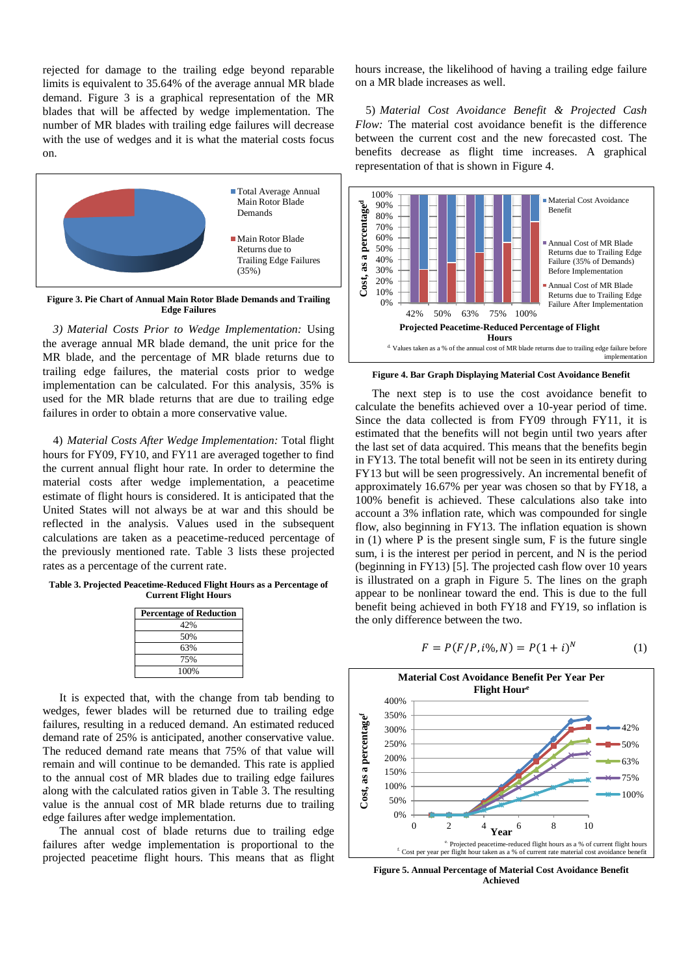rejected for damage to the trailing edge beyond reparable limits is equivalent to 35.64% of the average annual MR blade demand. [Figure 3](#page-2-0) is a graphical representation of the MR blades that will be affected by wedge implementation. The number of MR blades with trailing edge failures will decrease with the use of wedges and it is what the material costs focus on.



<span id="page-2-0"></span>**Figure 3. Pie Chart of Annual Main Rotor Blade Demands and Trailing Edge Failures**

*3) Material Costs Prior to Wedge Implementation:* Using the average annual MR blade demand, the unit price for the MR blade, and the percentage of MR blade returns due to trailing edge failures, the material costs prior to wedge implementation can be calculated. For this analysis, 35% is used for the MR blade returns that are due to trailing edge failures in order to obtain a more conservative value.

4) *Material Costs After Wedge Implementation:* Total flight hours for FY09, FY10, and FY11 are averaged together to find the current annual flight hour rate. In order to determine the material costs after wedge implementation, a peacetime estimate of flight hours is considered. It is anticipated that the United States will not always be at war and this should be reflected in the analysis. Values used in the subsequent calculations are taken as a peacetime-reduced percentage of the previously mentioned rate. [Table 3](#page-2-1) lists these projected rates as a percentage of the current rate.

<span id="page-2-1"></span>**Table 3. Projected Peacetime-Reduced Flight Hours as a Percentage of Current Flight Hours**

| <b>Percentage of Reduction</b> |  |  |  |
|--------------------------------|--|--|--|
| 42%                            |  |  |  |
| 50%                            |  |  |  |
| 63%                            |  |  |  |
| 75%                            |  |  |  |
| 100%                           |  |  |  |

It is expected that, with the change from tab bending to wedges, fewer blades will be returned due to trailing edge failures, resulting in a reduced demand. An estimated reduced demand rate of 25% is anticipated, another conservative value. The reduced demand rate means that 75% of that value will remain and will continue to be demanded. This rate is applied to the annual cost of MR blades due to trailing edge failures along with the calculated ratios given in [Table 3.](#page-2-1) The resulting value is the annual cost of MR blade returns due to trailing edge failures after wedge implementation.

The annual cost of blade returns due to trailing edge failures after wedge implementation is proportional to the projected peacetime flight hours. This means that as flight hours increase, the likelihood of having a trailing edge failure on a MR blade increases as well.

5) *Material Cost Avoidance Benefit & Projected Cash Flow:* The material cost avoidance benefit is the difference between the current cost and the new forecasted cost. The benefits decrease as flight time increases. A graphical representation of that is shown in [Figure 4.](#page-2-2)



<span id="page-2-2"></span>**Figure 4. Bar Graph Displaying Material Cost Avoidance Benefit**

The next step is to use the cost avoidance benefit to calculate the benefits achieved over a 10-year period of time. Since the data collected is from FY09 through FY11, it is estimated that the benefits will not begin until two years after the last set of data acquired. This means that the benefits begin in FY13. The total benefit will not be seen in its entirety during FY13 but will be seen progressively. An incremental benefit of approximately 16.67% per year was chosen so that by FY18, a 100% benefit is achieved. These calculations also take into account a 3% inflation rate, which was compounded for single flow, also beginning in FY13. The inflation equation is shown in  $(1)$  where P is the present single sum. F is the future single sum, i is the interest per period in percent, and N is the period (beginning in FY13) [5]. The projected cash flow over 10 years is illustrated on a graph in [Figure 5.](#page-2-3) The lines on the graph appear to be nonlinear toward the end. This is due to the full benefit being achieved in both FY18 and FY19, so inflation is the only difference between the two.

$$
F = P(F/P, i\%, N) = P(1+i)^N
$$
 (1)



<span id="page-2-3"></span>**Figure 5. Annual Percentage of Material Cost Avoidance Benefit Achieved**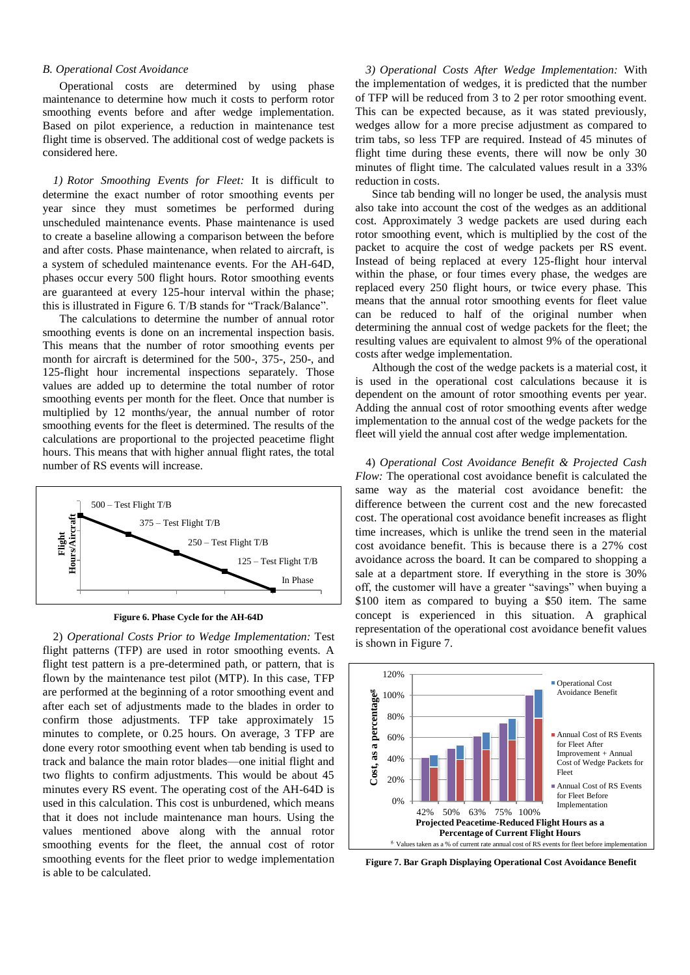## *B. Operational Cost Avoidance*

Operational costs are determined by using phase maintenance to determine how much it costs to perform rotor smoothing events before and after wedge implementation. Based on pilot experience, a reduction in maintenance test flight time is observed. The additional cost of wedge packets is considered here.

*1) Rotor Smoothing Events for Fleet:* It is difficult to determine the exact number of rotor smoothing events per year since they must sometimes be performed during unscheduled maintenance events. Phase maintenance is used to create a baseline allowing a comparison between the before and after costs. Phase maintenance, when related to aircraft, is a system of scheduled maintenance events. For the AH-64D, phases occur every 500 flight hours. Rotor smoothing events are guaranteed at every 125-hour interval within the phase; this is illustrated in [Figure 6.](#page-3-0) T/B stands for "Track/Balance".

The calculations to determine the number of annual rotor smoothing events is done on an incremental inspection basis. This means that the number of rotor smoothing events per month for aircraft is determined for the 500-, 375-, 250-, and 125-flight hour incremental inspections separately. Those values are added up to determine the total number of rotor smoothing events per month for the fleet. Once that number is multiplied by 12 months/year, the annual number of rotor smoothing events for the fleet is determined. The results of the calculations are proportional to the projected peacetime flight hours. This means that with higher annual flight rates, the total number of RS events will increase.



**Figure 6. Phase Cycle for the AH-64D**

<span id="page-3-0"></span>2) *Operational Costs Prior to Wedge Implementation:* Test flight patterns (TFP) are used in rotor smoothing events. A flight test pattern is a pre-determined path, or pattern, that is flown by the maintenance test pilot (MTP). In this case, TFP are performed at the beginning of a rotor smoothing event and after each set of adjustments made to the blades in order to confirm those adjustments. TFP take approximately 15 minutes to complete, or 0.25 hours. On average, 3 TFP are done every rotor smoothing event when tab bending is used to track and balance the main rotor blades—one initial flight and two flights to confirm adjustments. This would be about 45 minutes every RS event. The operating cost of the AH-64D is used in this calculation. This cost is unburdened, which means that it does not include maintenance man hours. Using the values mentioned above along with the annual rotor smoothing events for the fleet, the annual cost of rotor smoothing events for the fleet prior to wedge implementation is able to be calculated.

*3) Operational Costs After Wedge Implementation:* With the implementation of wedges, it is predicted that the number of TFP will be reduced from 3 to 2 per rotor smoothing event. This can be expected because, as it was stated previously, wedges allow for a more precise adjustment as compared to trim tabs, so less TFP are required. Instead of 45 minutes of flight time during these events, there will now be only 30 minutes of flight time. The calculated values result in a 33% reduction in costs.

Since tab bending will no longer be used, the analysis must also take into account the cost of the wedges as an additional cost. Approximately 3 wedge packets are used during each rotor smoothing event, which is multiplied by the cost of the packet to acquire the cost of wedge packets per RS event. Instead of being replaced at every 125-flight hour interval within the phase, or four times every phase, the wedges are replaced every 250 flight hours, or twice every phase. This means that the annual rotor smoothing events for fleet value can be reduced to half of the original number when determining the annual cost of wedge packets for the fleet; the resulting values are equivalent to almost 9% of the operational costs after wedge implementation.

Although the cost of the wedge packets is a material cost, it is used in the operational cost calculations because it is dependent on the amount of rotor smoothing events per year. Adding the annual cost of rotor smoothing events after wedge implementation to the annual cost of the wedge packets for the fleet will yield the annual cost after wedge implementation.

4) *Operational Cost Avoidance Benefit & Projected Cash Flow:* The operational cost avoidance benefit is calculated the same way as the material cost avoidance benefit: the difference between the current cost and the new forecasted cost. The operational cost avoidance benefit increases as flight time increases, which is unlike the trend seen in the material cost avoidance benefit. This is because there is a 27% cost avoidance across the board. It can be compared to shopping a sale at a department store. If everything in the store is 30% off, the customer will have a greater "savings" when buying a \$100 item as compared to buying a \$50 item. The same concept is experienced in this situation. A graphical representation of the operational cost avoidance benefit values is shown i[n Figure 7.](#page-3-1)



<span id="page-3-1"></span>**Figure 7. Bar Graph Displaying Operational Cost Avoidance Benefit**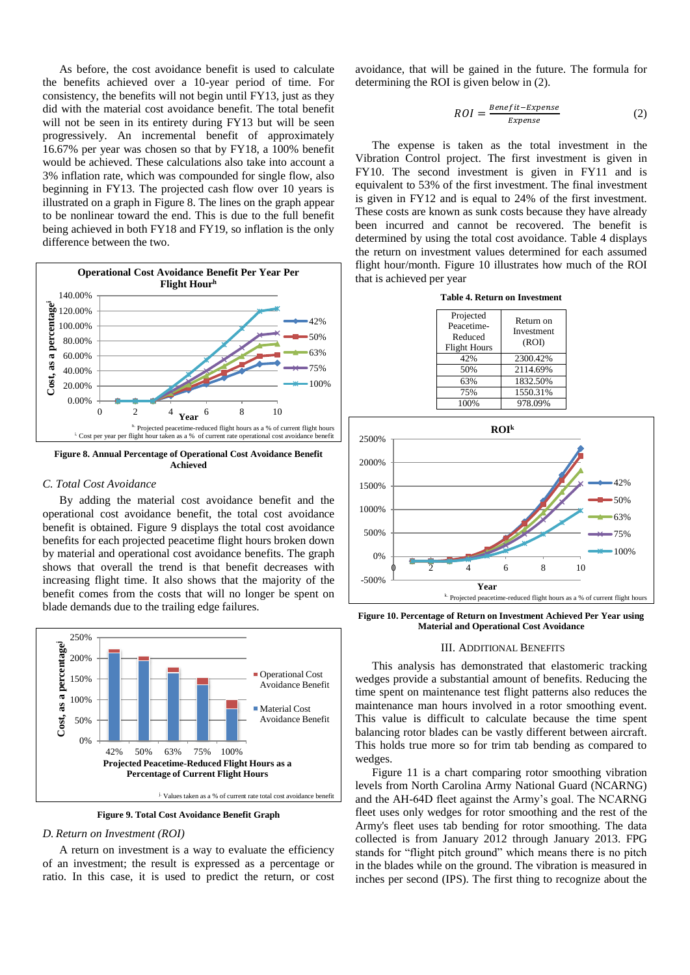As before, the cost avoidance benefit is used to calculate the benefits achieved over a 10-year period of time. For consistency, the benefits will not begin until FY13, just as they did with the material cost avoidance benefit. The total benefit will not be seen in its entirety during FY13 but will be seen progressively. An incremental benefit of approximately 16.67% per year was chosen so that by FY18, a 100% benefit would be achieved. These calculations also take into account a 3% inflation rate, which was compounded for single flow, also beginning in FY13. The projected cash flow over 10 years is illustrated on a graph in [Figure 8.](#page-4-0) The lines on the graph appear to be nonlinear toward the end. This is due to the full benefit being achieved in both FY18 and FY19, so inflation is the only difference between the two.



<span id="page-4-0"></span>**Figure 8. Annual Percentage of Operational Cost Avoidance Benefit Achieved**

## *C. Total Cost Avoidance*

By adding the material cost avoidance benefit and the operational cost avoidance benefit, the total cost avoidance benefit is obtained. [Figure 9](#page-4-1) displays the total cost avoidance benefits for each projected peacetime flight hours broken down by material and operational cost avoidance benefits. The graph shows that overall the trend is that benefit decreases with increasing flight time. It also shows that the majority of the benefit comes from the costs that will no longer be spent on blade demands due to the trailing edge failures.



**Figure 9. Total Cost Avoidance Benefit Graph**

#### <span id="page-4-1"></span>*D. Return on Investment (ROI)*

A return on investment is a way to evaluate the efficiency of an investment; the result is expressed as a percentage or ratio. In this case, it is used to predict the return, or cost avoidance, that will be gained in the future. The formula for determining the ROI is given below in (2).

$$
ROI = \frac{Benefit - Expense}{Expense}
$$
 (2)

The expense is taken as the total investment in the Vibration Control project. The first investment is given in FY10. The second investment is given in FY11 and is equivalent to 53% of the first investment. The final investment is given in FY12 and is equal to 24% of the first investment. These costs are known as sunk costs because they have already been incurred and cannot be recovered. The benefit is determined by using the total cost avoidance. [Table 4](#page-4-2) displays the return on investment values determined for each assumed flight hour/month. [Figure 10](#page-4-3) illustrates how much of the ROI that is achieved per year

|  |  | Table 4. Return on Investment |  |  |  |
|--|--|-------------------------------|--|--|--|
|--|--|-------------------------------|--|--|--|

<span id="page-4-2"></span>

| Projected<br>Peacetime-<br>Reduced<br><b>Flight Hours</b> | Return on<br>Investment<br>(ROI) |
|-----------------------------------------------------------|----------------------------------|
| 42%                                                       | 2300.42%                         |
| 50%                                                       | 2114.69%                         |
| 63%                                                       | 1832.50%                         |
| 75%                                                       | 1550.31%                         |
| 100%                                                      | 978.09%                          |



<span id="page-4-3"></span>**Figure 10. Percentage of Return on Investment Achieved Per Year using Material and Operational Cost Avoidance**

#### III. ADDITIONAL BENEFITS

This analysis has demonstrated that elastomeric tracking wedges provide a substantial amount of benefits. Reducing the time spent on maintenance test flight patterns also reduces the maintenance man hours involved in a rotor smoothing event. This value is difficult to calculate because the time spent balancing rotor blades can be vastly different between aircraft. This holds true more so for trim tab bending as compared to wedges.

[Figure 11](#page-5-0) is a chart comparing rotor smoothing vibration levels from North Carolina Army National Guard (NCARNG) and the AH-64D fleet against the Army's goal. The NCARNG fleet uses only wedges for rotor smoothing and the rest of the Army's fleet uses tab bending for rotor smoothing. The data collected is from January 2012 through January 2013. FPG stands for "flight pitch ground" which means there is no pitch in the blades while on the ground. The vibration is measured in inches per second (IPS). The first thing to recognize about the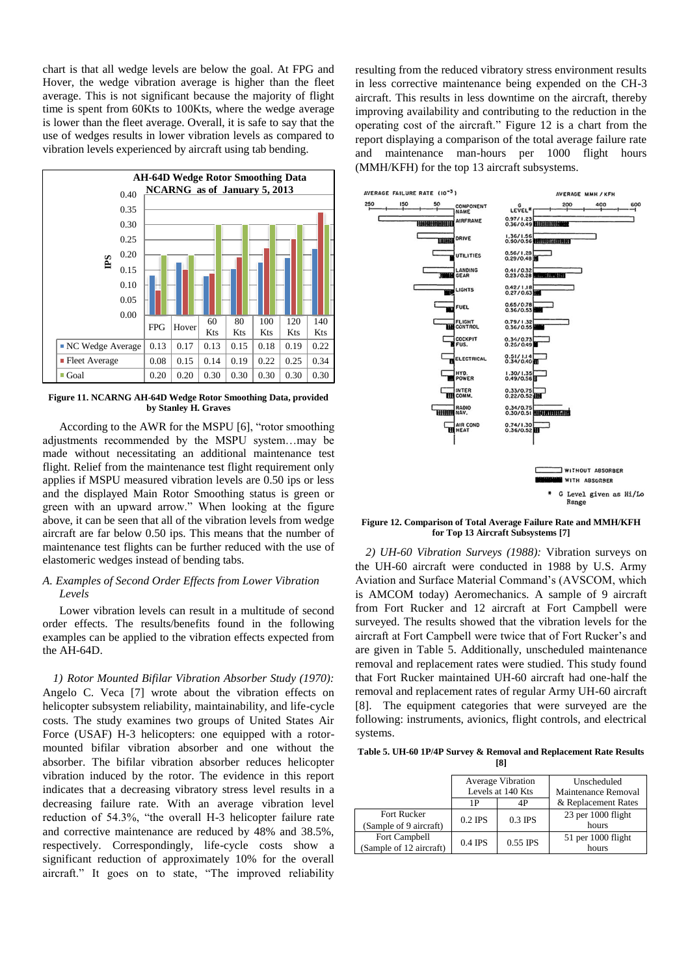chart is that all wedge levels are below the goal. At FPG and Hover, the wedge vibration average is higher than the fleet average. This is not significant because the majority of flight time is spent from 60Kts to 100Kts, where the wedge average is lower than the fleet average. Overall, it is safe to say that the use of wedges results in lower vibration levels as compared to vibration levels experienced by aircraft using tab bending.



<span id="page-5-0"></span>**Figure 11. NCARNG AH-64D Wedge Rotor Smoothing Data, provided by Stanley H. Graves**

According to the AWR for the MSPU [6], "rotor smoothing adjustments recommended by the MSPU system…may be made without necessitating an additional maintenance test flight. Relief from the maintenance test flight requirement only applies if MSPU measured vibration levels are 0.50 ips or less and the displayed Main Rotor Smoothing status is green or green with an upward arrow." When looking at the figure above, it can be seen that all of the vibration levels from wedge aircraft are far below 0.50 ips. This means that the number of maintenance test flights can be further reduced with the use of elastomeric wedges instead of bending tabs.

# *A. Examples of Second Order Effects from Lower Vibration Levels*

Lower vibration levels can result in a multitude of second order effects. The results/benefits found in the following examples can be applied to the vibration effects expected from the AH-64D.

*1) Rotor Mounted Bifilar Vibration Absorber Study (1970):*  Angelo C. Veca [7] wrote about the vibration effects on helicopter subsystem reliability, maintainability, and life-cycle costs. The study examines two groups of United States Air Force (USAF) H-3 helicopters: one equipped with a rotormounted bifilar vibration absorber and one without the absorber. The bifilar vibration absorber reduces helicopter vibration induced by the rotor. The evidence in this report indicates that a decreasing vibratory stress level results in a decreasing failure rate. With an average vibration level reduction of 54.3%, "the overall H-3 helicopter failure rate and corrective maintenance are reduced by 48% and 38.5%, respectively. Correspondingly, life-cycle costs show a significant reduction of approximately 10% for the overall aircraft." It goes on to state, "The improved reliability

resulting from the reduced vibratory stress environment results in less corrective maintenance being expended on the CH-3 aircraft. This results in less downtime on the aircraft, thereby improving availability and contributing to the reduction in the operating cost of the aircraft." [Figure 12](#page-5-1) is a chart from the report displaying a comparison of the total average failure rate and maintenance man-hours per 1000 flight hours (MMH/KFH) for the top 13 aircraft subsystems.



<span id="page-5-1"></span>**Figure 12. Comparison of Total Average Failure Rate and MMH/KFH for Top 13 Aircraft Subsystems [7]**

*2) UH-60 Vibration Surveys (1988):* Vibration surveys on the UH-60 aircraft were conducted in 1988 by U.S. Army Aviation and Surface Material Command's (AVSCOM, which is AMCOM today) Aeromechanics. A sample of 9 aircraft from Fort Rucker and 12 aircraft at Fort Campbell were surveyed. The results showed that the vibration levels for the aircraft at Fort Campbell were twice that of Fort Rucker's and are given in [Table 5.](#page-5-2) Additionally, unscheduled maintenance removal and replacement rates were studied. This study found that Fort Rucker maintained UH-60 aircraft had one-half the removal and replacement rates of regular Army UH-60 aircraft [8]. The equipment categories that were surveyed are the following: instruments, avionics, flight controls, and electrical systems.

<span id="page-5-2"></span>**Table 5. UH-60 1P/4P Survey & Removal and Replacement Rate Results [8]**

|                                          | <b>Average Vibration</b><br>Levels at 140 Kts |            | Unscheduled<br>Maintenance Removal |
|------------------------------------------|-----------------------------------------------|------------|------------------------------------|
|                                          | 1 P                                           |            | & Replacement Rates                |
| Fort Rucker<br>(Sample of 9 aircraft)    | $0.2$ IPS                                     | $0.3$ IPS  | 23 per 1000 flight<br>hours        |
| Fort Campbell<br>(Sample of 12 aircraft) | $0.4$ IPS                                     | $0.55$ IPS | $51$ per 1000 flight<br>hours      |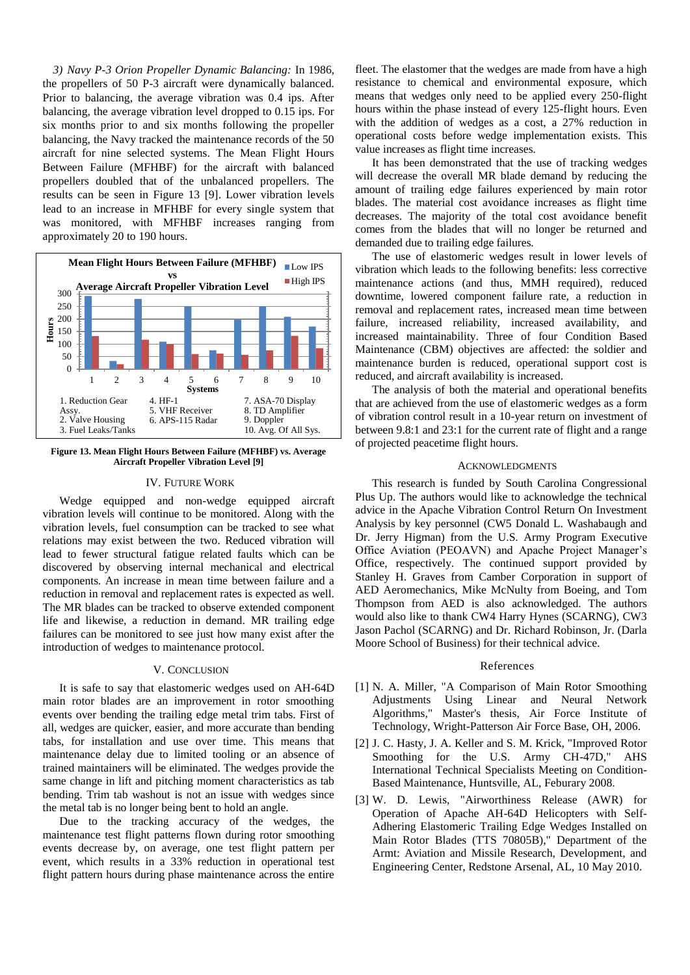*3) Navy P-3 Orion Propeller Dynamic Balancing:* In 1986, the propellers of 50 P-3 aircraft were dynamically balanced. Prior to balancing, the average vibration was 0.4 ips. After balancing, the average vibration level dropped to 0.15 ips. For six months prior to and six months following the propeller balancing, the Navy tracked the maintenance records of the 50 aircraft for nine selected systems. The Mean Flight Hours Between Failure (MFHBF) for the aircraft with balanced propellers doubled that of the unbalanced propellers. The results can be seen in [Figure 13](#page-6-0) [9]. Lower vibration levels lead to an increase in MFHBF for every single system that was monitored, with MFHBF increases ranging from approximately 20 to 190 hours.



<span id="page-6-0"></span>**Figure 13. Mean Flight Hours Between Failure (MFHBF) vs. Average Aircraft Propeller Vibration Level [9]**

## IV. FUTURE WORK

Wedge equipped and non-wedge equipped aircraft vibration levels will continue to be monitored. Along with the vibration levels, fuel consumption can be tracked to see what relations may exist between the two. Reduced vibration will lead to fewer structural fatigue related faults which can be discovered by observing internal mechanical and electrical components. An increase in mean time between failure and a reduction in removal and replacement rates is expected as well. The MR blades can be tracked to observe extended component life and likewise, a reduction in demand. MR trailing edge failures can be monitored to see just how many exist after the introduction of wedges to maintenance protocol.

# V. CONCLUSION

It is safe to say that elastomeric wedges used on AH-64D main rotor blades are an improvement in rotor smoothing events over bending the trailing edge metal trim tabs. First of all, wedges are quicker, easier, and more accurate than bending tabs, for installation and use over time. This means that maintenance delay due to limited tooling or an absence of trained maintainers will be eliminated. The wedges provide the same change in lift and pitching moment characteristics as tab bending. Trim tab washout is not an issue with wedges since the metal tab is no longer being bent to hold an angle.

Due to the tracking accuracy of the wedges, the maintenance test flight patterns flown during rotor smoothing events decrease by, on average, one test flight pattern per event, which results in a 33% reduction in operational test flight pattern hours during phase maintenance across the entire

fleet. The elastomer that the wedges are made from have a high resistance to chemical and environmental exposure, which means that wedges only need to be applied every 250-flight hours within the phase instead of every 125-flight hours. Even with the addition of wedges as a cost, a 27% reduction in operational costs before wedge implementation exists. This value increases as flight time increases.

It has been demonstrated that the use of tracking wedges will decrease the overall MR blade demand by reducing the amount of trailing edge failures experienced by main rotor blades. The material cost avoidance increases as flight time decreases. The majority of the total cost avoidance benefit comes from the blades that will no longer be returned and demanded due to trailing edge failures.

The use of elastomeric wedges result in lower levels of vibration which leads to the following benefits: less corrective maintenance actions (and thus, MMH required), reduced downtime, lowered component failure rate, a reduction in removal and replacement rates, increased mean time between failure, increased reliability, increased availability, and increased maintainability. Three of four Condition Based Maintenance (CBM) objectives are affected: the soldier and maintenance burden is reduced, operational support cost is reduced, and aircraft availability is increased.

The analysis of both the material and operational benefits that are achieved from the use of elastomeric wedges as a form of vibration control result in a 10-year return on investment of between 9.8:1 and 23:1 for the current rate of flight and a range of projected peacetime flight hours.

## **ACKNOWLEDGMENTS**

This research is funded by South Carolina Congressional Plus Up. The authors would like to acknowledge the technical advice in the Apache Vibration Control Return On Investment Analysis by key personnel (CW5 Donald L. Washabaugh and Dr. Jerry Higman) from the U.S. Army Program Executive Office Aviation (PEOAVN) and Apache Project Manager's Office, respectively. The continued support provided by Stanley H. Graves from Camber Corporation in support of AED Aeromechanics, Mike McNulty from Boeing, and Tom Thompson from AED is also acknowledged. The authors would also like to thank CW4 Harry Hynes (SCARNG), CW3 Jason Pachol (SCARNG) and Dr. Richard Robinson, Jr. (Darla Moore School of Business) for their technical advice.

#### References

- [1] N. A. Miller, "A Comparison of Main Rotor Smoothing Adjustments Using Linear and Neural Network Algorithms," Master's thesis, Air Force Institute of Technology, Wright-Patterson Air Force Base, OH, 2006.
- [2] J. C. Hasty, J. A. Keller and S. M. Krick, "Improved Rotor Smoothing for the U.S. Army CH-47D," AHS International Technical Specialists Meeting on Condition-Based Maintenance, Huntsville, AL, Feburary 2008.
- [3] W. D. Lewis, "Airworthiness Release (AWR) for Operation of Apache AH-64D Helicopters with Self-Adhering Elastomeric Trailing Edge Wedges Installed on Main Rotor Blades (TTS 70805B)," Department of the Armt: Aviation and Missile Research, Development, and Engineering Center, Redstone Arsenal, AL, 10 May 2010.